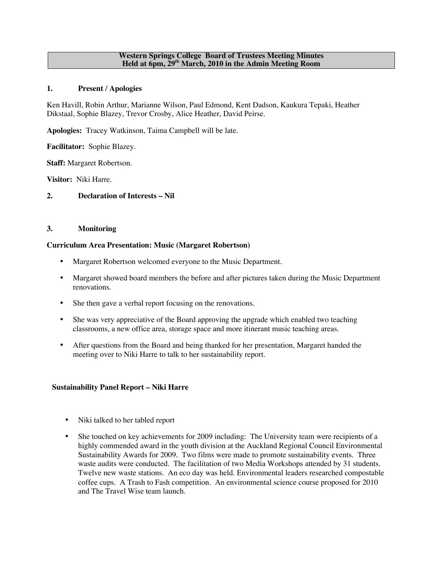#### **Western Springs College Board of Trustees Meeting Minutes Held at 6pm, 29th March, 2010 in the Admin Meeting Room**

### **1. Present / Apologies**

Ken Havill, Robin Arthur, Marianne Wilson, Paul Edmond, Kent Dadson, Kaukura Tepaki, Heather Dikstaal, Sophie Blazey, Trevor Crosby, Alice Heather, David Peirse.

**Apologies:** Tracey Watkinson, Taima Campbell will be late.

**Facilitator:** Sophie Blazey.

**Staff:** Margaret Robertson.

**Visitor:** Niki Harre.

### **2. Declaration of Interests – Nil**

## **3. Monitoring**

### **Curriculum Area Presentation: Music (Margaret Robertson)**

- Margaret Robertson welcomed everyone to the Music Department.
- Margaret showed board members the before and after pictures taken during the Music Department renovations.
- She then gave a verbal report focusing on the renovations.
- She was very appreciative of the Board approving the upgrade which enabled two teaching classrooms, a new office area, storage space and more itinerant music teaching areas.
- After questions from the Board and being thanked for her presentation, Margaret handed the meeting over to Niki Harre to talk to her sustainability report.

## **Sustainability Panel Report – Niki Harre**

- Niki talked to her tabled report
- She touched on key achievements for 2009 including: The University team were recipients of a highly commended award in the youth division at the Auckland Regional Council Environmental Sustainability Awards for 2009. Two films were made to promote sustainability events. Three waste audits were conducted. The facilitation of two Media Workshops attended by 31 students. Twelve new waste stations. An eco day was held. Environmental leaders researched compostable coffee cups. A Trash to Fash competition. An environmental science course proposed for 2010 and The Travel Wise team launch.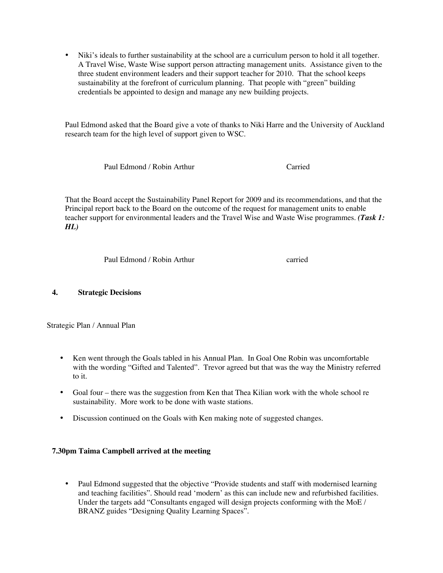• Niki's ideals to further sustainability at the school are a curriculum person to hold it all together. A Travel Wise, Waste Wise support person attracting management units. Assistance given to the three student environment leaders and their support teacher for 2010. That the school keeps sustainability at the forefront of curriculum planning. That people with "green" building credentials be appointed to design and manage any new building projects.

Paul Edmond asked that the Board give a vote of thanks to Niki Harre and the University of Auckland research team for the high level of support given to WSC.

Paul Edmond / Robin Arthur Carried

That the Board accept the Sustainability Panel Report for 2009 and its recommendations, and that the Principal report back to the Board on the outcome of the request for management units to enable teacher support for environmental leaders and the Travel Wise and Waste Wise programmes. *(Task 1: HL)*

Paul Edmond / Robin Arthur carried

## **4. Strategic Decisions**

Strategic Plan / Annual Plan

- Ken went through the Goals tabled in his Annual Plan. In Goal One Robin was uncomfortable with the wording "Gifted and Talented". Trevor agreed but that was the way the Ministry referred to it.
- Goal four there was the suggestion from Ken that Thea Kilian work with the whole school re sustainability. More work to be done with waste stations.
- Discussion continued on the Goals with Ken making note of suggested changes.

## **7.30pm Taima Campbell arrived at the meeting**

• Paul Edmond suggested that the objective "Provide students and staff with modernised learning and teaching facilities". Should read 'modern' as this can include new and refurbished facilities. Under the targets add "Consultants engaged will design projects conforming with the MoE / BRANZ guides "Designing Quality Learning Spaces".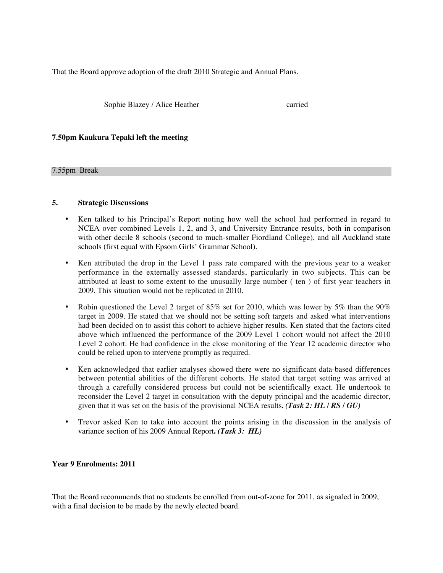That the Board approve adoption of the draft 2010 Strategic and Annual Plans.

Sophie Blazey / Alice Heather carried

### **7.50pm Kaukura Tepaki left the meeting**

#### 7.55pm Break

### **5. Strategic Discussions**

- Ken talked to his Principal's Report noting how well the school had performed in regard to NCEA over combined Levels 1, 2, and 3, and University Entrance results, both in comparison with other decile 8 schools (second to much-smaller Fiordland College), and all Auckland state schools (first equal with Epsom Girls' Grammar School).
- Ken attributed the drop in the Level 1 pass rate compared with the previous year to a weaker performance in the externally assessed standards, particularly in two subjects. This can be attributed at least to some extent to the unusually large number ( ten ) of first year teachers in 2009. This situation would not be replicated in 2010.
- Robin questioned the Level 2 target of 85% set for 2010, which was lower by 5% than the 90% target in 2009. He stated that we should not be setting soft targets and asked what interventions had been decided on to assist this cohort to achieve higher results. Ken stated that the factors cited above which influenced the performance of the 2009 Level 1 cohort would not affect the 2010 Level 2 cohort. He had confidence in the close monitoring of the Year 12 academic director who could be relied upon to intervene promptly as required.
- Ken acknowledged that earlier analyses showed there were no significant data-based differences between potential abilities of the different cohorts. He stated that target setting was arrived at through a carefully considered process but could not be scientifically exact. He undertook to reconsider the Level 2 target in consultation with the deputy principal and the academic director, given that it was set on the basis of the provisional NCEA results**.** *(Task 2: HL / RS / GU)*
- Trevor asked Ken to take into account the points arising in the discussion in the analysis of variance section of his 2009 Annual Report**.** *(Task 3: HL)*

#### **Year 9 Enrolments: 2011**

That the Board recommends that no students be enrolled from out-of-zone for 2011, as signaled in 2009, with a final decision to be made by the newly elected board.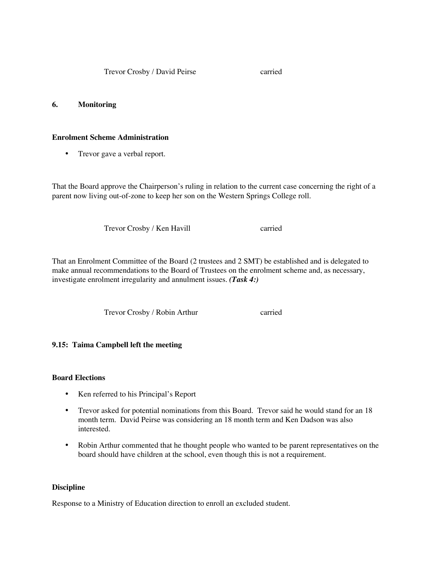Trevor Crosby / David Peirse carried

### **6. Monitoring**

### **Enrolment Scheme Administration**

• Trevor gave a verbal report.

That the Board approve the Chairperson's ruling in relation to the current case concerning the right of a parent now living out-of-zone to keep her son on the Western Springs College roll.

Trevor Crosby / Ken Havill carried

That an Enrolment Committee of the Board (2 trustees and 2 SMT) be established and is delegated to make annual recommendations to the Board of Trustees on the enrolment scheme and, as necessary, investigate enrolment irregularity and annulment issues. *(Task 4:)*

Trevor Crosby / Robin Arthur carried

## **9.15: Taima Campbell left the meeting**

## **Board Elections**

- Ken referred to his Principal's Report
- Trevor asked for potential nominations from this Board. Trevor said he would stand for an 18 month term. David Peirse was considering an 18 month term and Ken Dadson was also interested.
- Robin Arthur commented that he thought people who wanted to be parent representatives on the board should have children at the school, even though this is not a requirement.

#### **Discipline**

Response to a Ministry of Education direction to enroll an excluded student.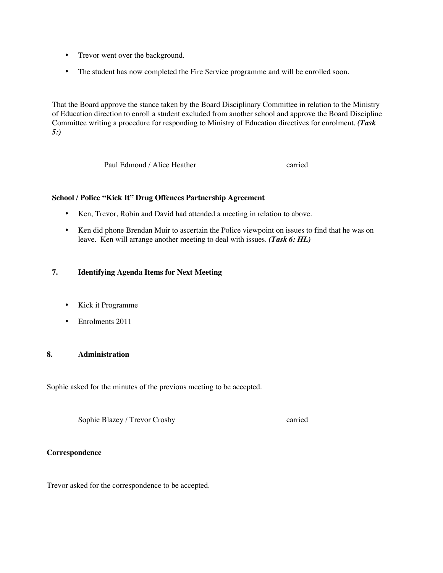- Trevor went over the background.
- The student has now completed the Fire Service programme and will be enrolled soon.

That the Board approve the stance taken by the Board Disciplinary Committee in relation to the Ministry of Education direction to enroll a student excluded from another school and approve the Board Discipline Committee writing a procedure for responding to Ministry of Education directives for enrolment. *(Task 5:)*

Paul Edmond / Alice Heather carried

#### **School / Police "Kick It" Drug Offences Partnership Agreement**

- Ken, Trevor, Robin and David had attended a meeting in relation to above.
- Ken did phone Brendan Muir to ascertain the Police viewpoint on issues to find that he was on leave. Ken will arrange another meeting to deal with issues. *(Task 6: HL)*

## **7. Identifying Agenda Items for Next Meeting**

- Kick it Programme
- Enrolments 2011

# **8. Administration**

Sophie asked for the minutes of the previous meeting to be accepted.

Sophie Blazey / Trevor Crosby carried

#### **Correspondence**

Trevor asked for the correspondence to be accepted.